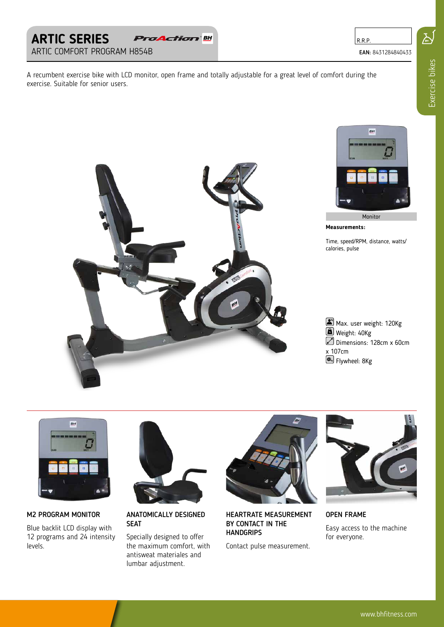EAN: 8431284840433 R.R.P.

A recumbent exercise bike with LCD monitor, open frame and totally adjustable for a great level of comfort during the exercise. Suitable for senior users.





Monitor

**Measurements:**

Time, speed/RPM, distance, watts/ calories, pulse

| Max. user weight: 120Kg     |
|-----------------------------|
| Weight: 40Kg                |
| Dimensions: 128cm x 60cm    |
| x 107cm                     |
| <sup>®«</sup> Flywheel: 8Kg |



## M2 PROGRAM MONITOR

Blue backlit LCD display with 12 programs and 24 intensity levels.



## ANATOMICALLY DESIGNED SEAT

Specially designed to offer the maximum comfort, with antisweat materiales and lumbar adjustment.



HEARTRATE MEASUREMENT BY CONTACT IN THE **HANDGRIPS** 

Contact pulse measurement.



OPEN FRAME Easy access to the machine for everyone.

 $\overline{\Delta}$